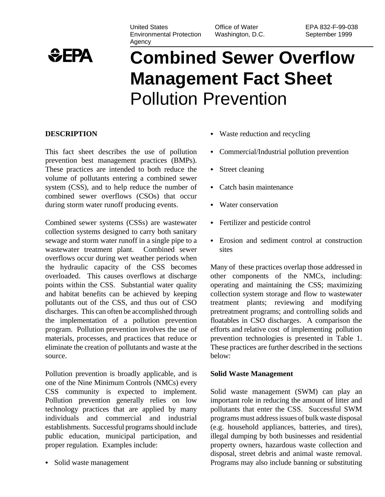United States Environmental Protection Agency

Office of Water Washington, D.C.

# $EPA$

# **Combined Sewer Overflow Management Fact Sheet** Pollution Prevention

# **DESCRIPTION**

This fact sheet describes the use of pollution prevention best management practices (BMPs). These practices are intended to both reduce the volume of pollutants entering a combined sewer system (CSS), and to help reduce the number of combined sewer overflows (CSOs) that occur during storm water runoff producing events.

Combined sewer systems (CSSs) are wastewater collection systems designed to carry both sanitary sewage and storm water runoff in a single pipe to a wastewater treatment plant. Combined sewer overflows occur during wet weather periods when the hydraulic capacity of the CSS becomes overloaded. This causes overflows at discharge points within the CSS. Substantial water quality and habitat benefits can be achieved by keeping pollutants out of the CSS, and thus out of CSO discharges. This can often be accomplished through the implementation of a pollution prevention program. Pollution prevention involves the use of materials, processes, and practices that reduce or eliminate the creation of pollutants and waste at the source.

Pollution prevention is broadly applicable, and is one of the Nine Minimum Controls (NMCs) every CSS community is expected to implement. Pollution prevention generally relies on low technology practices that are applied by many individuals and commercial and industrial establishments. Successful programs should include public education, municipal participation, and proper regulation. Examples include:

• Solid waste management

- Waste reduction and recycling
- Commercial/Industrial pollution prevention
- Street cleaning
- Catch basin maintenance
- Water conservation
- Fertilizer and pesticide control
- Erosion and sediment control at construction sites

Many of these practices overlap those addressed in other components of the NMCs, including: operating and maintaining the CSS; maximizing collection system storage and flow to wastewater treatment plants; reviewing and modifying pretreatment programs; and controlling solids and floatables in CSO discharges. A comparison the efforts and relative cost of implementing pollution prevention technologies is presented in Table 1. These practices are further described in the sections below:

# **Solid Waste Management**

Solid waste management (SWM) can play an important role in reducing the amount of litter and pollutants that enter the CSS. Successful SWM programs must address issues of bulk waste disposal (e.g. household appliances, batteries, and tires), illegal dumping by both businesses and residential property owners, hazardous waste collection and disposal, street debris and animal waste removal. Programs may also include banning or substituting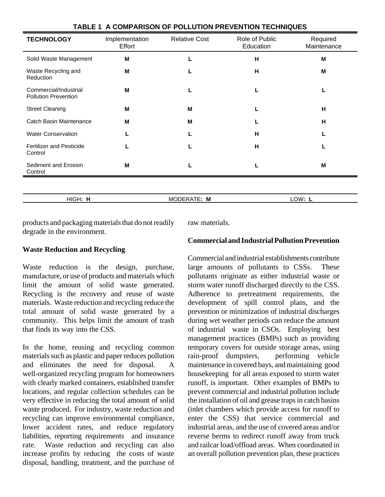| <b>TECHNOLOGY</b>                                    | Implementation<br>Effort | <b>Relative Cost</b> | Role of Public<br>Education | Required<br>Maintenance |
|------------------------------------------------------|--------------------------|----------------------|-----------------------------|-------------------------|
| Solid Waste Management                               | м                        |                      | н                           | M                       |
| Waste Recycling and<br>Reduction                     | м                        |                      | н                           | M                       |
| Commercial/Industrial<br><b>Pollution Prevention</b> | м                        |                      |                             |                         |
| <b>Street Cleaning</b>                               | M                        | M                    |                             | н                       |
| Catch Basin Maintenance                              | м                        | м                    |                             | н                       |
| <b>Water Conservation</b>                            |                          |                      | н                           |                         |
| <b>Fertilizer and Pesticide</b><br>Control           |                          |                      | н                           |                         |
| Sediment and Erosion<br>Control                      | M                        |                      |                             | M                       |
|                                                      |                          |                      |                             |                         |

HIGH**: H** MODERATE**: M** LOW**: L**

#### **TABLE 1 A COMPARISON OF POLLUTION PREVENTION TECHNIQUES**

products and packaging materials that do not readily degrade in the environment.

# **Waste Reduction and Recycling**

Waste reduction is the design, purchase, manufacture, or use of products and materials which limit the amount of solid waste generated. Recycling is the recovery and reuse of waste materials. Waste reduction and recycling reduce the total amount of solid waste generated by a community. This helps limit the amount of trash that finds its way into the CSS.

In the home, reusing and recycling common materials such as plastic and paper reduces pollution and eliminates the need for disposal. A well-organized recycling program for homeowners with clearly marked containers, established transfer locations, and regular collection schedules can be very effective in reducing the total amount of solid waste produced. For industry, waste reduction and recycling can improve environmental compliance, lower accident rates, and reduce regulatory liabilities, reporting requirements and insurance rate. Waste reduction and recycling can also increase profits by reducing the costs of waste disposal, handling, treatment, and the purchase of raw materials.

# **Commercial and Industrial Pollution Prevention**

Commercial and industrial establishments contribute large amounts of pollutants to CSSs. These pollutants originate as either industrial waste or storm water runoff discharged directly to the CSS. Adherence to pretreatment requirements, the development of spill control plans, and the prevention or minimization of industrial discharges during wet weather periods can reduce the amount of industrial waste in CSOs. Employing best management practices (BMPs) such as providing temporary covers for outside storage areas, using rain-proof dumpsters, performing vehicle maintenance in covered bays, and maintaining good housekeeping for all areas exposed to storm water runoff, is important. Other examples of BMPs to prevent commercial and industrial pollution include the installation of oil and grease traps in catch basins (inlet chambers which provide access for runoff to enter the CSS) that service commercial and industrial areas, and the use of covered areas and/or reverse berms to redirect runoff away from truck and railcar load/offload areas. When coordinated in an overall pollution prevention plan, these practices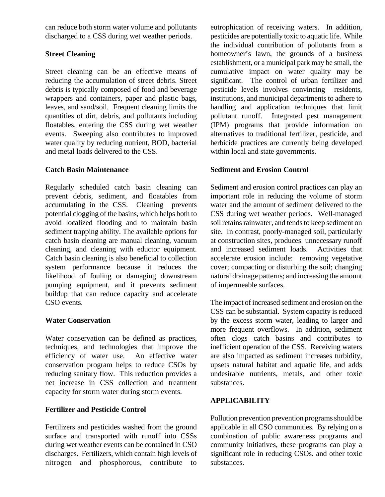can reduce both storm water volume and pollutants discharged to a CSS during wet weather periods.

# **Street Cleaning**

Street cleaning can be an effective means of reducing the accumulation of street debris. Street debris is typically composed of food and beverage wrappers and containers, paper and plastic bags, leaves, and sand/soil. Frequent cleaning limits the quantities of dirt, debris, and pollutants including floatables, entering the CSS during wet weather events. Sweeping also contributes to improved water quality by reducing nutrient, BOD, bacterial and metal loads delivered to the CSS.

# **Catch Basin Maintenance**

Regularly scheduled catch basin cleaning can prevent debris, sediment, and floatables from accumulating in the CSS. Cleaning prevents potential clogging of the basins, which helps both to avoid localized flooding and to maintain basin sediment trapping ability. The available options for catch basin cleaning are manual cleaning, vacuum cleaning, and cleaning with eductor equipment. Catch basin cleaning is also beneficial to collection system performance because it reduces the likelihood of fouling or damaging downstream pumping equipment, and it prevents sediment buildup that can reduce capacity and accelerate CSO events.

# **Water Conservation**

Water conservation can be defined as practices, techniques, and technologies that improve the efficiency of water use. An effective water conservation program helps to reduce CSOs by reducing sanitary flow. This reduction provides a net increase in CSS collection and treatment capacity for storm water during storm events.

# **Fertilizer and Pesticide Control**

Fertilizers and pesticides washed from the ground surface and transported with runoff into CSSs during wet weather events can be contained in CSO discharges. Fertilizers, which contain high levels of nitrogen and phosphorous, contribute to

eutrophication of receiving waters. In addition, pesticides are potentially toxic to aquatic life. While the individual contribution of pollutants from a homeowner's lawn, the grounds of a business establishment, or a municipal park may be small, the cumulative impact on water quality may be significant. The control of urban fertilizer and pesticide levels involves convincing residents, institutions, and municipal departments to adhere to handling and application techniques that limit pollutant runoff. Integrated pest management (IPM) programs that provide information on alternatives to traditional fertilizer, pesticide, and herbicide practices are currently being developed within local and state governments.

# **Sediment and Erosion Control**

Sediment and erosion control practices can play an important role in reducing the volume of storm water and the amount of sediment delivered to the CSS during wet weather periods. Well-managed soil retains rainwater, and tends to keep sediment on site. In contrast, poorly-managed soil, particularly at construction sites, produces unnecessary runoff and increased sediment loads. Activities that accelerate erosion include: removing vegetative cover; compacting or disturbing the soil; changing natural drainage patterns; and increasing the amount of impermeable surfaces.

The impact of increased sediment and erosion on the CSS can be substantial. System capacity is reduced by the excess storm water, leading to larger and more frequent overflows. In addition, sediment often clogs catch basins and contributes to inefficient operation of the CSS. Receiving waters are also impacted as sediment increases turbidity, upsets natural habitat and aquatic life, and adds undesirable nutrients, metals, and other toxic substances.

# **APPLICABILITY**

Pollution prevention prevention programs should be applicable in all CSO communities. By relying on a combination of public awareness programs and community initiatives, these programs can play a significant role in reducing CSOs. and other toxic substances.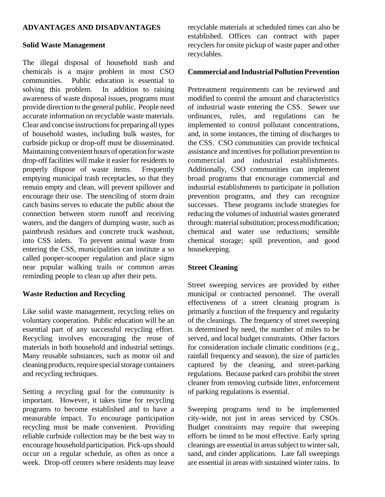#### **ADVANTAGES AND DISADVANTAGES**

#### **Solid Waste Management**

The illegal disposal of household trash and chemicals is a major problem in most CSO communities. Public education is essential to solving this problem. In addition to raising awareness of waste disposal issues, programs must provide direction to the general public. People need accurate information on recyclable waste materials. Clear and concise instructions for preparing all types of household wastes, including bulk wastes, for curbside pickup or drop-off must be disseminated. Maintaining convenient hours of operation for waste drop-off facilities will make it easier for residents to properly dispose of waste items. Frequently emptying municipal trash receptacles, so that they remain empty and clean, will prevent spillover and encourage their use. The stenciling of storm drain catch basins serves to educate the public about the connection between storm runoff and receiving waters, and the dangers of dumping waste, such as paintbrush residues and concrete truck washout, into CSS inlets. To prevent animal waste from entering the CSS, municipalities can institute a so called pooper-scooper regulation and place signs near popular walking trails or common areas reminding people to clean up after their pets.

#### **Waste Reduction and Recycling**

Like solid waste management, recycling relies on voluntary cooperation. Public education will be an essential part of any successful recycling effort. Recycling involves encouraging the reuse of materials in both household and industrial settings. Many reusable substances, such as motor oil and cleaning products, require special storage containers and recycling techniques.

Setting a recycling goal for the community is important. However, it takes time for recycling programs to become established and to have a measurable impact. To encourage participation recycling must be made convenient. Providing reliable curbside collection may be the best way to encourage household participation. Pick-ups should occur on a regular schedule, as often as once a week. Drop-off centers where residents may leave

recyclable materials at scheduled times can also be established. Offices can contract with paper recyclers for onsite pickup of waste paper and other recyclables.

#### **Commercial and Industrial Pollution Prevention**

Pretreatment requirements can be reviewed and modified to control the amount and characteristics of industrial waste entering the CSS. Sewer use ordinances, rules, and regulations can be implemented to control pollutant concentrations, and, in some instances, the timing of discharges to the CSS. CSO communities can provide technical assistance and incentives for pollution prevention to commercial and industrial establishments. Additionally, CSO communities can implement broad programs that encourage commercial and industrial establishments to participate in pollution prevention programs, and they can recognize successes. These programs include strategies for reducing the volumes of industrial wastes generated through: material substitution; process modification; chemical and water use reductions; sensible chemical storage; spill prevention, and good housekeeping.

#### **Street Cleaning**

Street sweeping services are provided by either municipal or contracted personnel. The overall effectiveness of a street cleaning program is primarily a function of the frequency and regularity of the cleanings. The frequency of street sweeping is determined by need, the number of miles to be served, and local budget constraints. Other factors for consideration include climatic conditions (e.g., rainfall frequency and season), the size of particles captured by the cleaning, and street-parking regulations. Because parked cars prohibit the street cleaner from removing curbside litter, enforcement of parking regulations is essential.

Sweeping programs tend to be implemented city-wide, not just in areas serviced by CSOs. Budget constraints may require that sweeping efforts be timed to be most effective. Early spring cleanings are essential in areas subject to winter salt, sand, and cinder applications. Late fall sweepings are essential in areas with sustained winter rains. In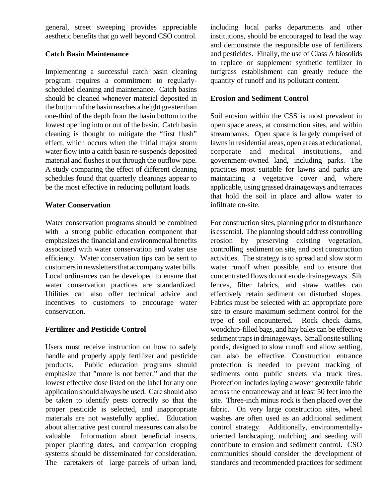general, street sweeping provides appreciable aesthetic benefits that go well beyond CSO control.

# **Catch Basin Maintenance**

Implementing a successful catch basin cleaning program requires a commitment to regularlyscheduled cleaning and maintenance. Catch basins should be cleaned whenever material deposited in the bottom of the basin reaches a height greater than one-third of the depth from the basin bottom to the lowest opening into or out of the basin. Catch basin cleaning is thought to mitigate the "first flush" effect, which occurs when the initial major storm water flow into a catch basin re-suspends deposited material and flushes it out through the outflow pipe. A study comparing the effect of different cleaning schedules found that quarterly cleanings appear to be the most effective in reducing pollutant loads.

# **Water Conservation**

Water conservation programs should be combined with a strong public education component that emphasizes the financial and environmental benefits associated with water conservation and water use efficiency. Water conservation tips can be sent to customers in newsletters that accompany water bills. Local ordinances can be developed to ensure that water conservation practices are standardized. Utilities can also offer technical advice and incentives to customers to encourage water conservation.

# **Fertilizer and Pesticide Control**

Users must receive instruction on how to safely handle and properly apply fertilizer and pesticide products. Public education programs should emphasize that "more is not better," and that the lowest effective dose listed on the label for any one application should always be used. Care should also be taken to identify pests correctly so that the proper pesticide is selected, and inappropriate materials are not wastefully applied. Education about alternative pest control measures can also be valuable. Information about beneficial insects, proper planting dates, and companion cropping systems should be disseminated for consideration. The caretakers of large parcels of urban land, including local parks departments and other institutions, should be encouraged to lead the way and demonstrate the responsible use of fertilizers and pesticides. Finally, the use of Class A biosolids to replace or supplement synthetic fertilizer in turfgrass establishment can greatly reduce the quantity of runoff and its pollutant content.

# **Erosion and Sediment Control**

Soil erosion within the CSS is most prevalent in open space areas, at construction sites, and within streambanks. Open space is largely comprised of lawns in residential areas, open areas at educational, corporate and medical institutions, and government-owned land, including parks. The practices most suitable for lawns and parks are maintaining a vegetative cover and, where applicable, using grassed drainageways and terraces that hold the soil in place and allow water to infiltrate on-site.

For construction sites, planning prior to disturbance is essential. The planning should address controlling erosion by preserving existing vegetation, controlling sediment on site, and post construction activities. The strategy is to spread and slow storm water runoff when possible, and to ensure that concentrated flows do not erode drainageways. Silt fences, filter fabrics, and straw wattles can effectively retain sediment on disturbed slopes. Fabrics must be selected with an appropriate pore size to ensure maximum sediment control for the type of soil encountered. Rock check dams, woodchip-filled bags, and hay bales can be effective sediment traps in drainageways. Small onsite stilling ponds, designed to slow runoff and allow settling, can also be effective. Construction entrance protection is needed to prevent tracking of sediments onto public streets via truck tires. Protection includes laying a woven geotextile fabric across the entranceway and at least 50 feet into the site. Three-inch minus rock is then placed over the fabric. On very large construction sites, wheel washes are often used as an additional sediment control strategy. Additionally, environmentallyoriented landscaping, mulching, and seeding will contribute to erosion and sediment control. CSO communities should consider the development of standards and recommended practices for sediment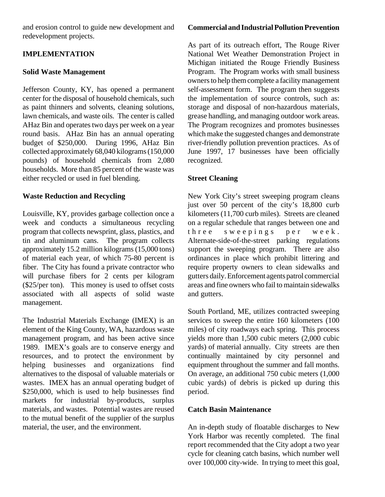and erosion control to guide new development and redevelopment projects.

# **IMPLEMENTATION**

# **Solid Waste Management**

Jefferson County, KY, has opened a permanent center for the disposal of household chemicals, such as paint thinners and solvents, cleaning solutions, lawn chemicals, and waste oils. The center is called AHaz Bin and operates two days per week on a year round basis. AHaz Bin has an annual operating budget of \$250,000. During 1996, AHaz Bin collected approximately 68,040 kilograms (150,000 pounds) of household chemicals from 2,080 households. More than 85 percent of the waste was either recycled or used in fuel blending.

# **Waste Reduction and Recycling**

Louisville, KY, provides garbage collection once a week and conducts a simultaneous recycling program that collects newsprint, glass, plastics, and tin and aluminum cans. The program collects approximately 15.2 million kilograms (15,000 tons) of material each year, of which 75-80 percent is fiber. The City has found a private contractor who will purchase fibers for 2 cents per kilogram (\$25/per ton). This money is used to offset costs associated with all aspects of solid waste management.

The Industrial Materials Exchange (IMEX) is an element of the King County, WA, hazardous waste management program, and has been active since 1989. IMEX's goals are to conserve energy and resources, and to protect the environment by helping businesses and organizations find alternatives to the disposal of valuable materials or wastes. IMEX has an annual operating budget of \$250,000, which is used to help businesses find markets for industrial by-products, surplus materials, and wastes. Potential wastes are reused to the mutual benefit of the supplier of the surplus material, the user, and the environment.

# **Commercial and Industrial Pollution Prevention**

As part of its outreach effort, The Rouge River National Wet Weather Demonstration Project in Michigan initiated the Rouge Friendly Business Program. The Program works with small business owners to help them complete a facility management self-assessment form. The program then suggests the implementation of source controls, such as: storage and disposal of non-hazardous materials, grease handling, and managing outdoor work areas. The Program recognizes and promotes businesses which make the suggested changes and demonstrate river-friendly pollution prevention practices. As of June 1997, 17 businesses have been officially recognized.

# **Street Cleaning**

New York City's street sweeping program cleans just over 50 percent of the city's 18,800 curb kilometers (11,700 curb miles). Streets are cleaned on a regular schedule that ranges between one and three sweepings per week . Alternate-side-of-the-street parking regulations support the sweeping program. There are also ordinances in place which prohibit littering and require property owners to clean sidewalks and gutters daily. Enforcement agents patrol commercial areas and fine owners who fail to maintain sidewalks and gutters.

South Portland, ME, utilizes contracted sweeping services to sweep the entire 160 kilometers (100 miles) of city roadways each spring. This process yields more than 1,500 cubic meters (2,000 cubic yards) of material annually. City streets are then continually maintained by city personnel and equipment throughout the summer and fall months. On average, an additional 750 cubic meters (1,000 cubic yards) of debris is picked up during this period.

# **Catch Basin Maintenance**

An in-depth study of floatable discharges to New York Harbor was recently completed. The final report recommended that the City adopt a two year cycle for cleaning catch basins, which number well over 100,000 city-wide. In trying to meet this goal,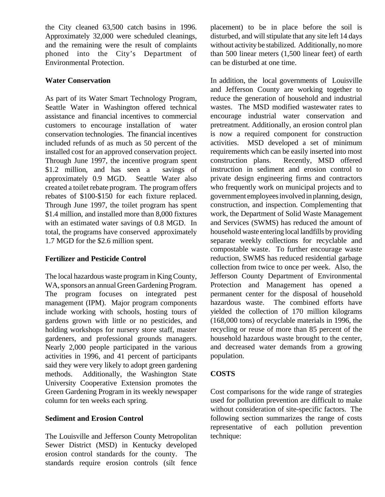the City cleaned 63,500 catch basins in 1996. Approximately 32,000 were scheduled cleanings, and the remaining were the result of complaints phoned into the City's Department of Environmental Protection.

# **Water Conservation**

As part of its Water Smart Technology Program, Seattle Water in Washington offered technical assistance and financial incentives to commercial customers to encourage installation of water conservation technologies. The financial incentives included refunds of as much as 50 percent of the installed cost for an approved conservation project. Through June 1997, the incentive program spent \$1.2 million, and has seen a savings of approximately 0.9 MGD. Seattle Water also created a toilet rebate program. The program offers rebates of \$100-\$150 for each fixture replaced. Through June 1997, the toilet program has spent \$1.4 million, and installed more than 8,000 fixtures with an estimated water savings of 0.8 MGD. In total, the programs have conserved approximately 1.7 MGD for the \$2.6 million spent.

# **Fertilizer and Pesticide Control**

The local hazardous waste program in King County, WA, sponsors an annual Green Gardening Program. The program focuses on integrated pest management (IPM). Major program components include working with schools, hosting tours of gardens grown with little or no pesticides, and holding workshops for nursery store staff, master gardeners, and professional grounds managers. Nearly 2,000 people participated in the various activities in 1996, and 41 percent of participants said they were very likely to adopt green gardening methods. Additionally, the Washington State University Cooperative Extension promotes the Green Gardening Program in its weekly newspaper column for ten weeks each spring.

# **Sediment and Erosion Control**

The Louisville and Jefferson County Metropolitan Sewer District (MSD) in Kentucky developed erosion control standards for the county. The standards require erosion controls (silt fence placement) to be in place before the soil is disturbed, and will stipulate that any site left 14 days without activity be stabilized. Additionally, no more than 500 linear meters (1,500 linear feet) of earth can be disturbed at one time.

In addition, the local governments of Louisville and Jefferson County are working together to reduce the generation of household and industrial wastes. The MSD modified wastewater rates to encourage industrial water conservation and pretreatment. Additionally, an erosion control plan is now a required component for construction activities. MSD developed a set of minimum requirements which can be easily inserted into most construction plans. Recently, MSD offered instruction in sediment and erosion control to private design engineering firms and contractors who frequently work on municipal projects and to government employees involved in planning, design, construction, and inspection. Complementing that work, the Department of Solid Waste Management and Services (SWMS) has reduced the amount of household waste entering local landfills by providing separate weekly collections for recyclable and compostable waste. To further encourage waste reduction, SWMS has reduced residential garbage collection from twice to once per week. Also, the Jefferson County Department of Environmental Protection and Management has opened a permanent center for the disposal of household hazardous waste. The combined efforts have yielded the collection of 170 million kilograms (168,000 tons) of recyclable materials in 1996, the recycling or reuse of more than 85 percent of the household hazardous waste brought to the center, and decreased water demands from a growing population.

# **COSTS**

Cost comparisons for the wide range of strategies used for pollution prevention are difficult to make without consideration of site-specific factors. The following section summarizes the range of costs representative of each pollution prevention technique: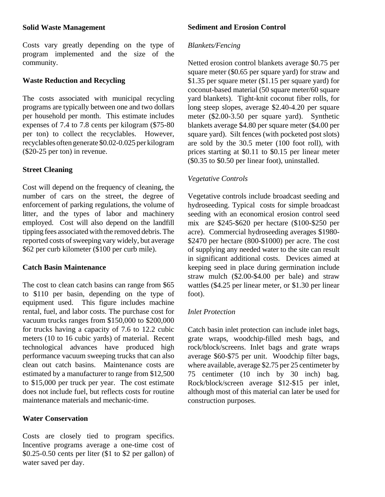#### **Solid Waste Management**

Costs vary greatly depending on the type of program implemented and the size of the community.

# **Waste Reduction and Recycling**

The costs associated with municipal recycling programs are typically between one and two dollars per household per month. This estimate includes expenses of 7.4 to 7.8 cents per kilogram (\$75-80 per ton) to collect the recyclables. However, recyclables often generate \$0.02-0.025 per kilogram (\$20-25 per ton) in revenue.

# **Street Cleaning**

Cost will depend on the frequency of cleaning, the number of cars on the street, the degree of enforcement of parking regulations, the volume of litter, and the types of labor and machinery employed. Cost will also depend on the landfill tipping fees associated with the removed debris. The reported costs of sweeping vary widely, but average \$62 per curb kilometer (\$100 per curb mile).

# **Catch Basin Maintenance**

The cost to clean catch basins can range from \$65 to \$110 per basin, depending on the type of equipment used. This figure includes machine rental, fuel, and labor costs. The purchase cost for vacuum trucks ranges from \$150,000 to \$200,000 for trucks having a capacity of 7.6 to 12.2 cubic meters (10 to 16 cubic yards) of material. Recent technological advances have produced high performance vacuum sweeping trucks that can also clean out catch basins. Maintenance costs are estimated by a manufacturer to range from \$12,500 to \$15,000 per truck per year. The cost estimate does not include fuel, but reflects costs for routine maintenance materials and mechanic-time.

# **Water Conservation**

Costs are closely tied to program specifics. Incentive programs average a one-time cost of \$0.25-0.50 cents per liter (\$1 to \$2 per gallon) of water saved per day.

#### **Sediment and Erosion Control**

#### *Blankets/Fencing*

Netted erosion control blankets average \$0.75 per square meter (\$0.65 per square yard) for straw and \$1.35 per square meter (\$1.15 per square yard) for coconut-based material (50 square meter/60 square yard blankets). Tight-knit coconut fiber rolls, for long steep slopes, average \$2.40-4.20 per square meter (\$2.00-3.50 per square yard). Synthetic blankets average \$4.80 per square meter (\$4.00 per square yard). Silt fences (with pocketed post slots) are sold by the 30.5 meter (100 foot roll), with prices starting at \$0.11 to \$0.15 per linear meter (\$0.35 to \$0.50 per linear foot), uninstalled.

# *Vegetative Controls*

Vegetative controls include broadcast seeding and hydroseeding. Typical costs for simple broadcast seeding with an economical erosion control seed mix are \$245-\$620 per hectare (\$100-\$250 per acre). Commercial hydroseeding averages \$1980- \$2470 per hectare (800-\$1000) per acre. The cost of supplying any needed water to the site can result in significant additional costs. Devices aimed at keeping seed in place during germination include straw mulch (\$2.00-\$4.00 per bale) and straw wattles (\$4.25 per linear meter, or \$1.30 per linear foot).

# *Inlet Protection*

Catch basin inlet protection can include inlet bags, grate wraps, woodchip-filled mesh bags, and rock/block/screens. Inlet bags and grate wraps average \$60-\$75 per unit. Woodchip filter bags, where available, average \$2.75 per 25 centimeter by 75 centimeter (10 inch by 30 inch) bag. Rock/block/screen average \$12-\$15 per inlet, although most of this material can later be used for construction purposes.